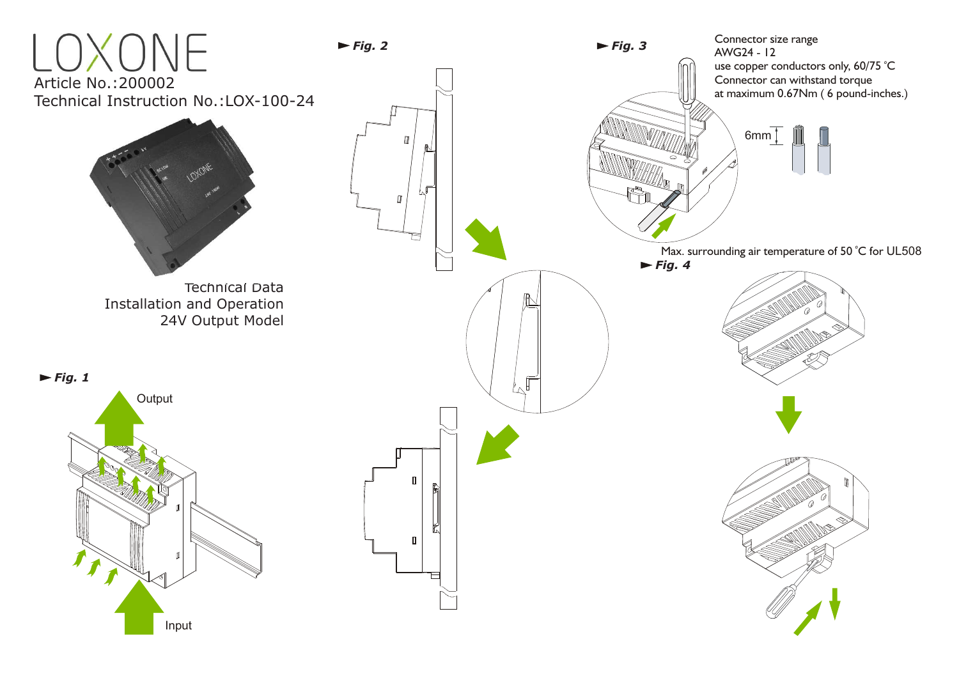